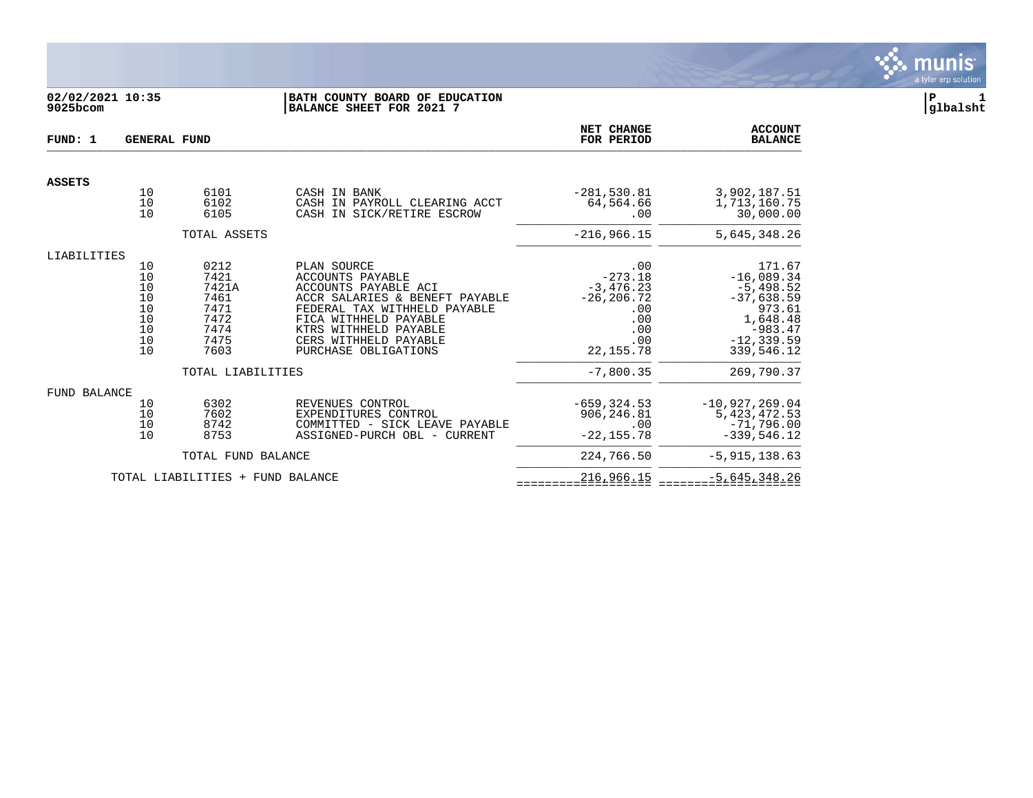

# **02/02/2021 10:35 |BATH COUNTY BOARD OF EDUCATION |P 1 9025bcom |BALANCE SHEET FOR 2021 7 |glbalsht**

| FUND: 1       | <b>GENERAL FUND</b>                                |                                                                                            |                                                                                                                                                                                                                                     |                                                                                                           | <b>ACCOUNT</b><br><b>BALANCE</b>                                                                                                      |
|---------------|----------------------------------------------------|--------------------------------------------------------------------------------------------|-------------------------------------------------------------------------------------------------------------------------------------------------------------------------------------------------------------------------------------|-----------------------------------------------------------------------------------------------------------|---------------------------------------------------------------------------------------------------------------------------------------|
| <b>ASSETS</b> |                                                    |                                                                                            |                                                                                                                                                                                                                                     |                                                                                                           |                                                                                                                                       |
|               | 10<br>10<br>10                                     | 6101<br>6102<br>6105                                                                       | CASH IN BANK<br>CASH IN PAYROLL CLEARING ACCT<br>CASH IN SICK/RETIRE ESCROW                                                                                                                                                         | $-281,530.81$<br>64,564.66<br>.00                                                                         | 3,902,187.51<br>1,713,160.75<br>30,000.00                                                                                             |
|               |                                                    | TOTAL ASSETS                                                                               |                                                                                                                                                                                                                                     | $-216,966.15$                                                                                             | 5,645,348.26                                                                                                                          |
| LIABILITIES   |                                                    |                                                                                            |                                                                                                                                                                                                                                     |                                                                                                           |                                                                                                                                       |
|               | 10<br>10<br>10<br>10<br>10<br>10<br>10<br>10<br>10 | 0212<br>7421<br>7421A<br>7461<br>7471<br>7472<br>7474<br>7475<br>7603<br>TOTAL LIABILITIES | PLAN SOURCE<br><b>ACCOUNTS PAYABLE</b><br>ACCOUNTS PAYABLE ACI<br>ACCR SALARIES & BENEFT PAYABLE<br>FEDERAL TAX WITHHELD PAYABLE<br>FICA WITHHELD PAYABLE<br>KTRS WITHHELD PAYABLE<br>CERS WITHHELD PAYABLE<br>PURCHASE OBLIGATIONS | .00<br>$-273.18$<br>$-3,476.23$<br>$-26, 206.72$<br>.00<br>.00<br>.00<br>.00<br>22, 155.78<br>$-7,800.35$ | 171.67<br>$-16,089.34$<br>$-5,498.52$<br>$-37,638.59$<br>973.61<br>1,648.48<br>$-983.47$<br>$-12, 339.59$<br>339,546.12<br>269,790.37 |
|               |                                                    |                                                                                            |                                                                                                                                                                                                                                     |                                                                                                           |                                                                                                                                       |
| FUND BALANCE  | 10<br>10<br>10<br>10                               | 6302<br>7602<br>8742<br>8753                                                               | REVENUES CONTROL<br>EXPENDITURES CONTROL<br>COMMITTED - SICK LEAVE PAYABLE<br>ASSIGNED-PURCH OBL - CURRENT                                                                                                                          | $-659.324.53$<br>906,246.81<br>.00<br>$-22, 155.78$                                                       | $-10, 927, 269.04$<br>5, 423, 472.53<br>$-71,796.00$<br>$-339,546.12$                                                                 |
|               |                                                    | TOTAL FUND BALANCE                                                                         |                                                                                                                                                                                                                                     | 224,766.50                                                                                                | $-5, 915, 138.63$                                                                                                                     |
|               |                                                    | TOTAL LIABILITIES + FUND BALANCE                                                           |                                                                                                                                                                                                                                     | 216,966.15                                                                                                | $-5,645,348.26$                                                                                                                       |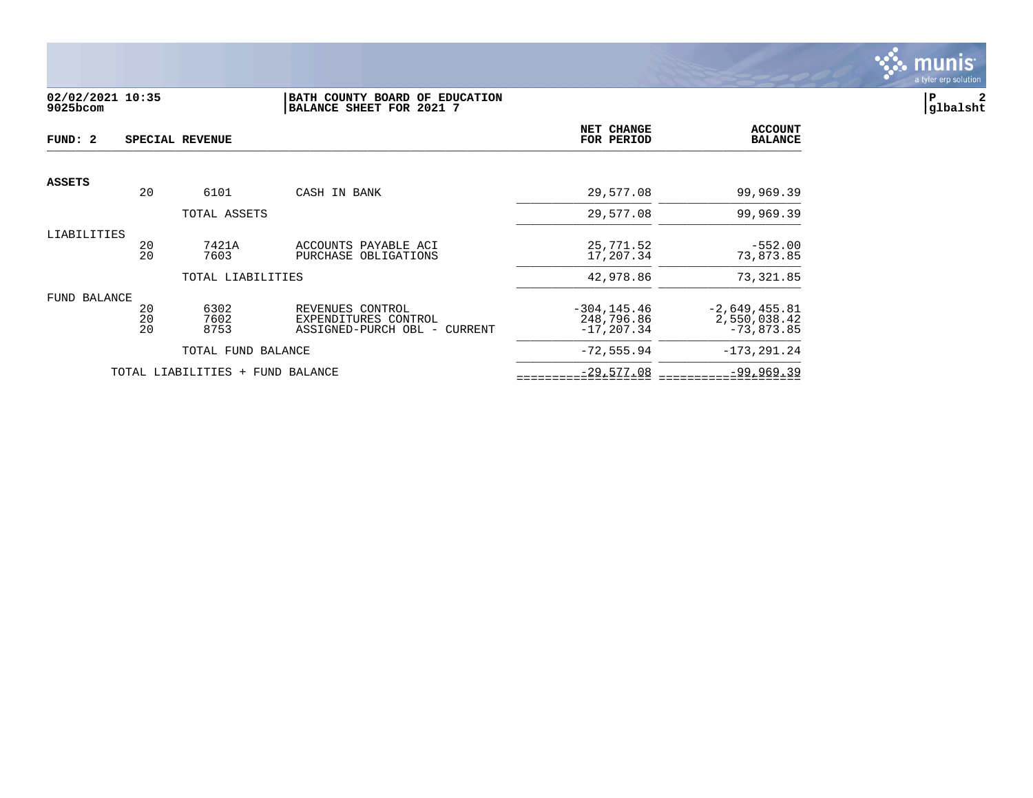

#### **02/02/2021 10:35 |BATH COUNTY BOARD OF EDUCATION |P 2 9025bcom |BALANCE SHEET FOR 2021 7 |glbalsht**

| FUND: 2       |                | SPECIAL REVENUE                  |                                                                          | NET CHANGE<br>FOR PERIOD                      | <b>ACCOUNT</b><br><b>BALANCE</b>                |
|---------------|----------------|----------------------------------|--------------------------------------------------------------------------|-----------------------------------------------|-------------------------------------------------|
| <b>ASSETS</b> |                |                                  |                                                                          |                                               |                                                 |
|               | 20             | 6101                             | CASH IN BANK                                                             | 29,577.08                                     | 99,969.39                                       |
|               |                | TOTAL ASSETS                     |                                                                          | 29,577.08                                     | 99,969.39                                       |
| LIABILITIES   | 20<br>20       | 7421A<br>7603                    | ACCOUNTS PAYABLE ACI<br>PURCHASE OBLIGATIONS                             | 25,771.52<br>17,207.34                        | $-552.00$<br>73,873.85                          |
|               |                | TOTAL LIABILITIES                |                                                                          | 42,978.86                                     | 73,321.85                                       |
| FUND BALANCE  | 20<br>20<br>20 | 6302<br>7602<br>8753             | REVENUES CONTROL<br>EXPENDITURES CONTROL<br>ASSIGNED-PURCH OBL - CURRENT | $-304, 145.46$<br>248,796.86<br>$-17, 207.34$ | $-2,649,455.81$<br>2,550,038.42<br>$-73,873.85$ |
|               |                | TOTAL FUND BALANCE               |                                                                          | $-72, 555.94$                                 | $-173, 291.24$                                  |
|               |                | TOTAL LIABILITIES + FUND BALANCE |                                                                          | $-29,577.08$                                  | $-99,969.39$                                    |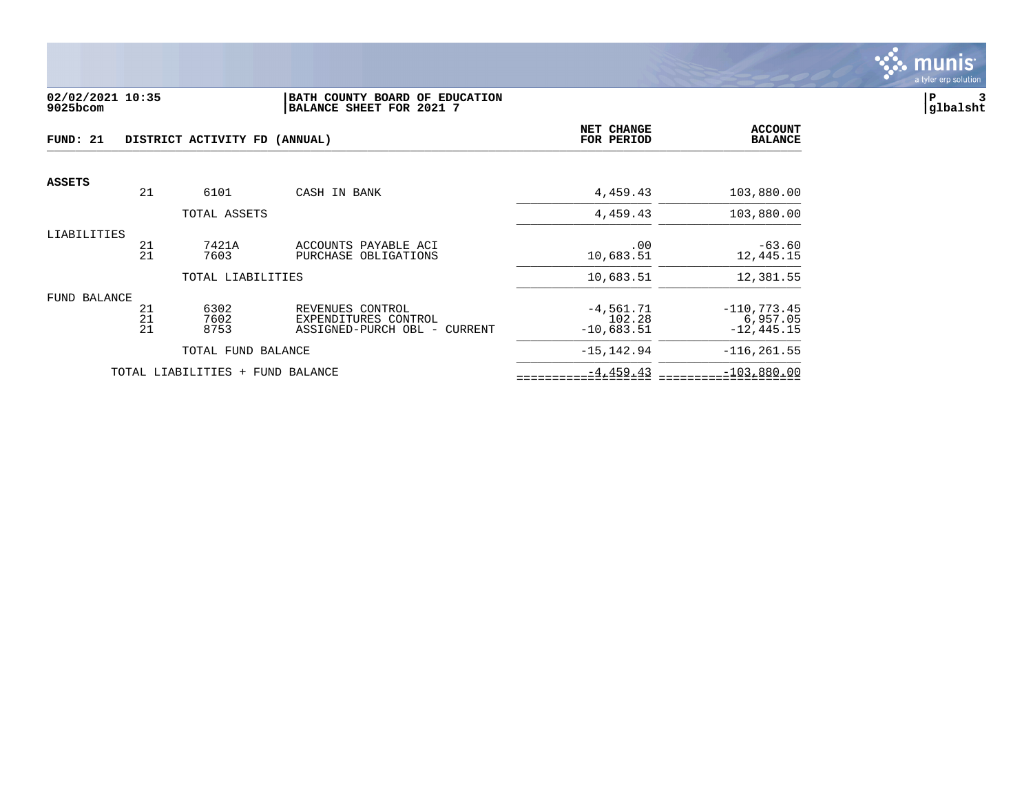

#### **02/02/2021 10:35 |BATH COUNTY BOARD OF EDUCATION |P 3 9025bcom |BALANCE SHEET FOR 2021 7 |glbalsht**

| FUND: 21      |                | DISTRICT ACTIVITY FD (ANNUAL)    |                                                                          | NET CHANGE<br>FOR PERIOD              | <b>ACCOUNT</b><br><b>BALANCE</b>            |
|---------------|----------------|----------------------------------|--------------------------------------------------------------------------|---------------------------------------|---------------------------------------------|
| <b>ASSETS</b> |                |                                  |                                                                          |                                       |                                             |
|               | 21             | 6101                             | CASH IN BANK                                                             | 4,459.43                              | 103,880.00                                  |
|               |                | TOTAL ASSETS                     |                                                                          | 4,459.43                              | 103,880.00                                  |
| LIABILITIES   | 21<br>21       | 7421A<br>7603                    | ACCOUNTS PAYABLE ACI<br>PURCHASE OBLIGATIONS                             | .00<br>10,683.51                      | $-63.60$<br>12,445.15                       |
|               |                | TOTAL LIABILITIES                |                                                                          | 10,683.51                             | 12,381.55                                   |
| FUND BALANCE  | 21<br>21<br>21 | 6302<br>7602<br>8753             | REVENUES CONTROL<br>EXPENDITURES CONTROL<br>ASSIGNED-PURCH OBL - CURRENT | $-4,561.71$<br>102.28<br>$-10,683.51$ | $-110, 773.45$<br>6,957.05<br>$-12, 445.15$ |
|               |                | TOTAL FUND BALANCE               |                                                                          | $-15, 142.94$                         | $-116, 261.55$                              |
|               |                | TOTAL LIABILITIES + FUND BALANCE |                                                                          | $-4, 459.43$                          | $-103,880.00$                               |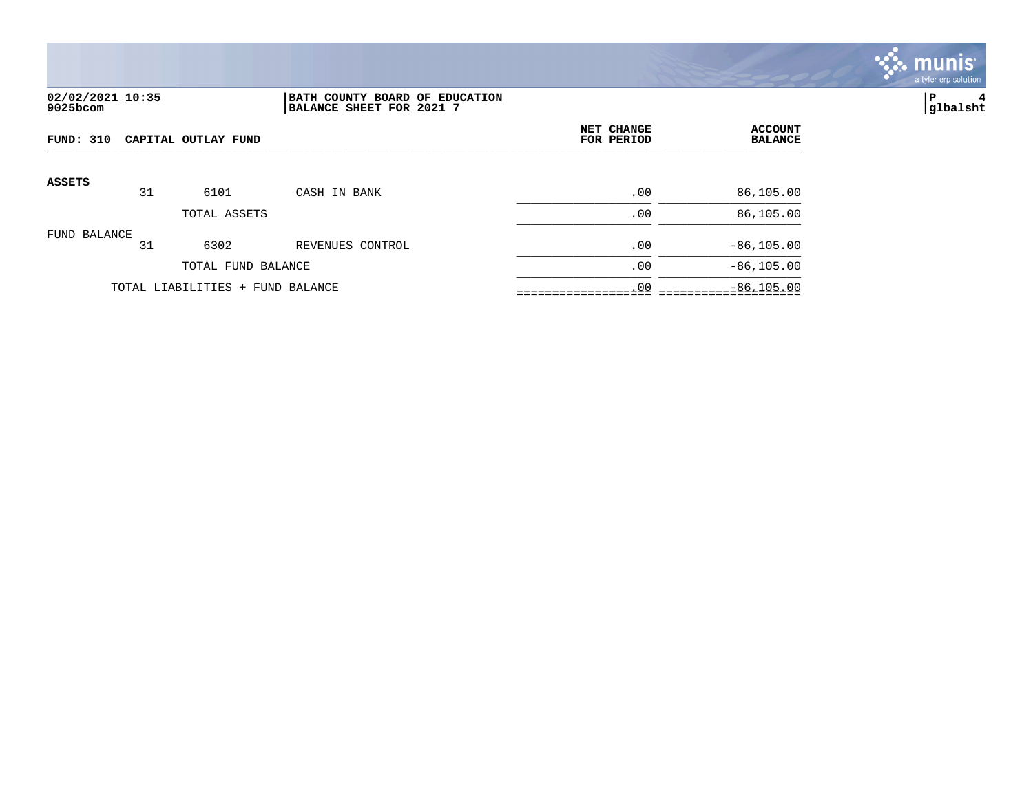

## **02/02/2021 10:35 |BATH COUNTY BOARD OF EDUCATION |P 4 9025bcom |BALANCE SHEET FOR 2021 7 |glbalsht**

| FUND: 310<br>CAPITAL OUTLAY FUND |    |                                  |                  | NET CHANGE<br>FOR PERIOD | <b>ACCOUNT</b><br><b>BALANCE</b> |
|----------------------------------|----|----------------------------------|------------------|--------------------------|----------------------------------|
| <b>ASSETS</b>                    | 31 | 6101                             | CASH IN BANK     | .00                      | 86,105.00                        |
|                                  |    | TOTAL ASSETS                     |                  | .00                      | 86,105.00                        |
| FUND BALANCE                     | 31 | 6302                             | REVENUES CONTROL | .00                      | $-86, 105.00$                    |
|                                  |    | TOTAL FUND BALANCE               |                  | .00                      | $-86, 105.00$                    |
|                                  |    | TOTAL LIABILITIES + FUND BALANCE |                  | .00                      | $-86, 105.00$                    |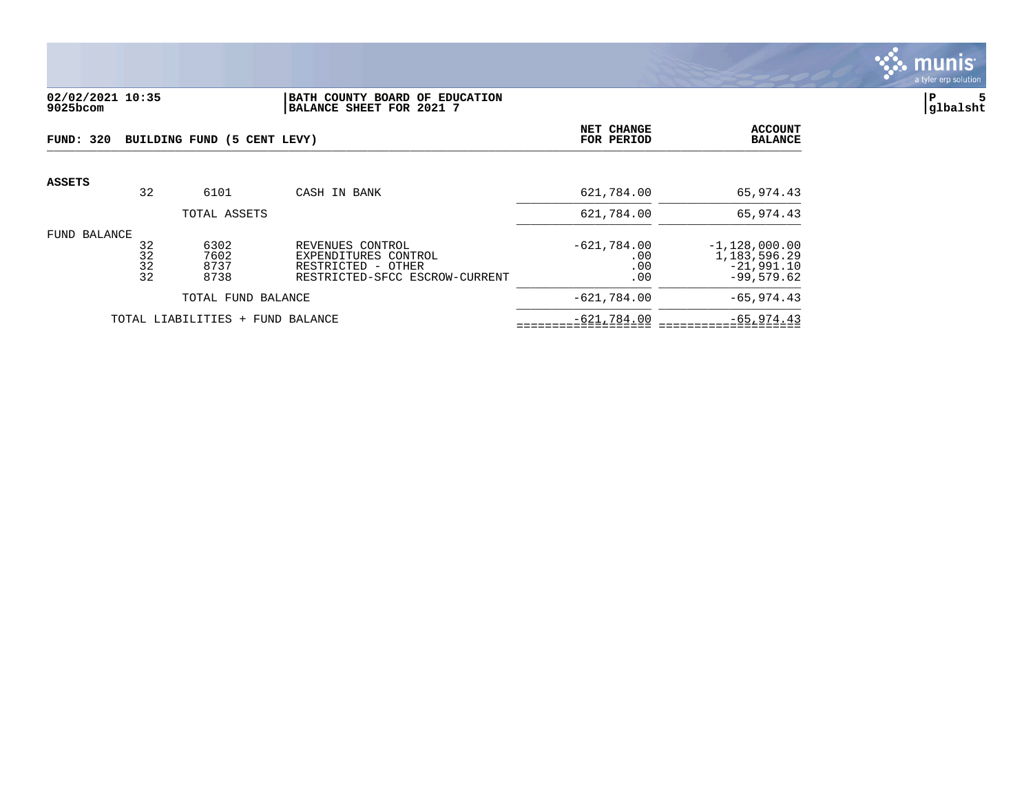

#### **02/02/2021 10:35 |BATH COUNTY BOARD OF EDUCATION |P 5 9025bcom |BALANCE SHEET FOR 2021 7 |glbalsht**

| FUND: 320    | BUILDING FUND (5 CENT LEVY) |                                  |                                                                                                  |                                    | <b>ACCOUNT</b><br><b>BALANCE</b>                                |
|--------------|-----------------------------|----------------------------------|--------------------------------------------------------------------------------------------------|------------------------------------|-----------------------------------------------------------------|
| ASSETS       | 32                          | 6101                             | CASH IN BANK                                                                                     | 621,784.00                         | 65,974.43                                                       |
|              |                             | TOTAL ASSETS                     |                                                                                                  | 621,784.00                         | 65,974.43                                                       |
| FUND BALANCE | 32<br>32<br>32<br>32        | 6302<br>7602<br>8737<br>8738     | REVENUES CONTROL<br>EXPENDITURES CONTROL<br>RESTRICTED - OTHER<br>RESTRICTED-SFCC ESCROW-CURRENT | $-621,784.00$<br>.00<br>.00<br>.00 | $-1,128,000.00$<br>1,183,596.29<br>$-21,991.10$<br>$-99,579.62$ |
|              | TOTAL FUND BALANCE          |                                  |                                                                                                  | $-621,784.00$                      | $-65, 974.43$                                                   |
|              |                             | TOTAL LIABILITIES + FUND BALANCE |                                                                                                  | $-621,784.00$                      | $-65, 974.43$                                                   |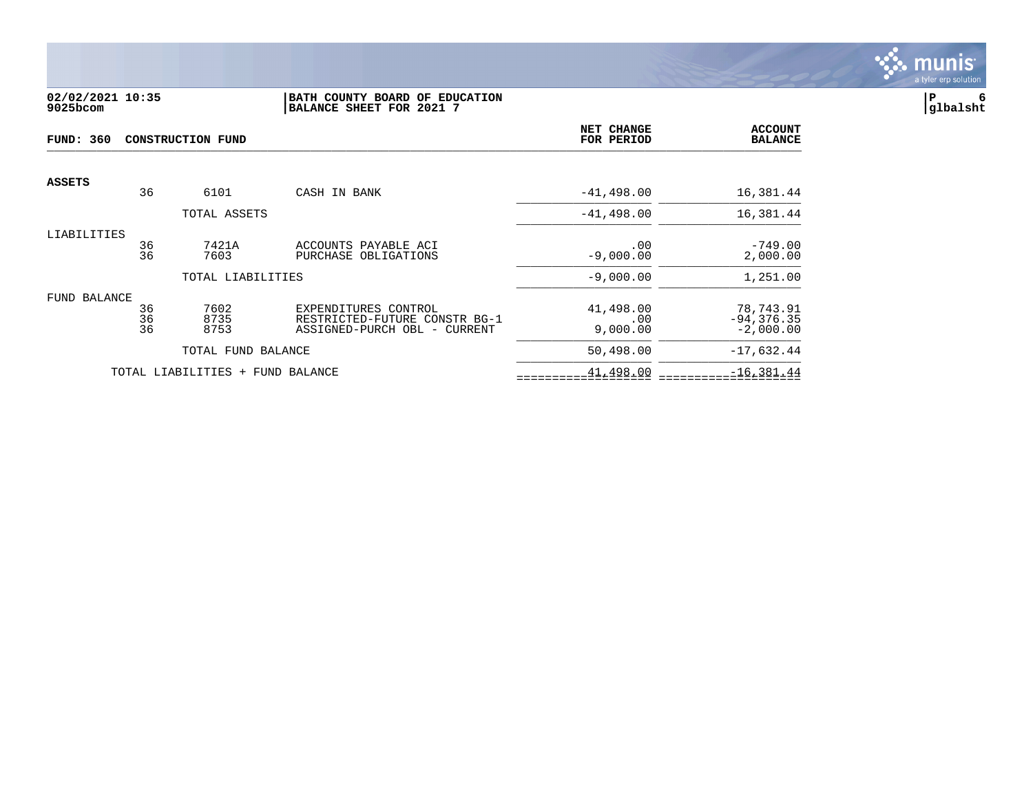

## **02/02/2021 10:35 |BATH COUNTY BOARD OF EDUCATION |P 6 9025bcom |BALANCE SHEET FOR 2021 7 |glbalsht**

| FUND: 360<br><b>CONSTRUCTION FUND</b> |                |                          |                                                                                       | NET CHANGE<br>FOR PERIOD     | <b>ACCOUNT</b><br><b>BALANCE</b>          |
|---------------------------------------|----------------|--------------------------|---------------------------------------------------------------------------------------|------------------------------|-------------------------------------------|
| <b>ASSETS</b>                         | 36             | 6101                     | CASH IN BANK                                                                          | $-41, 498.00$                | 16,381.44                                 |
|                                       |                | TOTAL ASSETS             |                                                                                       | $-41, 498.00$                | 16,381.44                                 |
| LIABILITIES                           | 36<br>36       | 7421A<br>7603            | ACCOUNTS PAYABLE ACI<br>PURCHASE OBLIGATIONS                                          | .00<br>$-9,000.00$           | $-749.00$<br>2,000.00                     |
|                                       |                | TOTAL LIABILITIES        |                                                                                       | $-9,000.00$                  | 1,251.00                                  |
| FUND BALANCE                          | 36<br>36<br>36 | 7602<br>8735<br>8753     | EXPENDITURES CONTROL<br>RESTRICTED-FUTURE CONSTR BG-1<br>ASSIGNED-PURCH OBL - CURRENT | 41,498.00<br>.00<br>9,000.00 | 78,743.91<br>$-94, 376.35$<br>$-2,000.00$ |
|                                       |                | TOTAL FUND BALANCE       |                                                                                       | 50,498.00                    | $-17,632.44$                              |
|                                       |                | TOTAL LIABILITIES<br>$+$ | FUND BALANCE                                                                          | 41,498.00                    | $-16, 381.44$                             |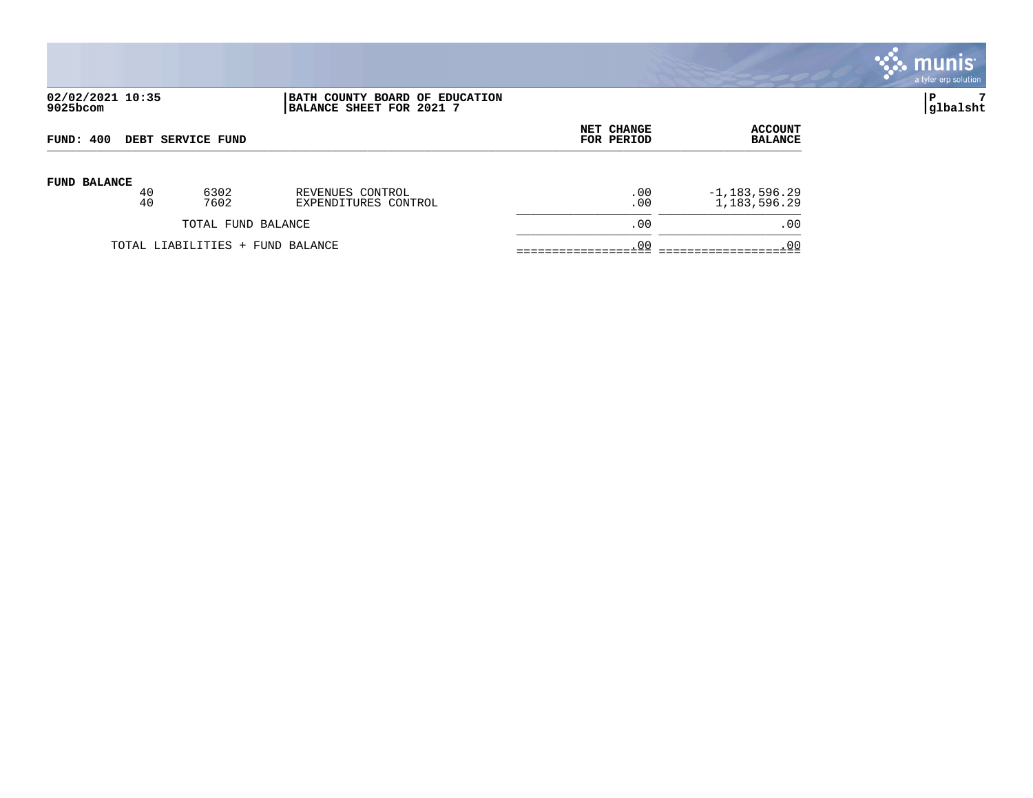|                              |                                                            |                          |                                  | $\mathbb{C}$ munis<br>a tyler erp solution |
|------------------------------|------------------------------------------------------------|--------------------------|----------------------------------|--------------------------------------------|
| 02/02/2021 10:35<br>9025bcom | BATH COUNTY BOARD OF EDUCATION<br>BALANCE SHEET FOR 2021 7 |                          |                                  | ∣P<br>glbalsht                             |
| FUND: 400 DEBT SERVICE FUND  |                                                            | NET CHANGE<br>FOR PERIOD | <b>ACCOUNT</b><br><b>BALANCE</b> |                                            |
| <b>FIND RALANCE</b>          |                                                            |                          |                                  |                                            |

| <b>FUND BALANCE</b> | 40<br>40 | 6302<br>7602                     | REVENUES CONTROL<br>EXPENDITURES CONTROL | . 00<br>. 00 | $-1, 183, 596.29$<br>1,183,596.29 |
|---------------------|----------|----------------------------------|------------------------------------------|--------------|-----------------------------------|
|                     |          | TOTAL FUND BALANCE               |                                          | . 00         | . 00                              |
|                     |          | TOTAL LIABILITIES + FUND BALANCE |                                          |              |                                   |
|                     |          |                                  |                                          |              |                                   |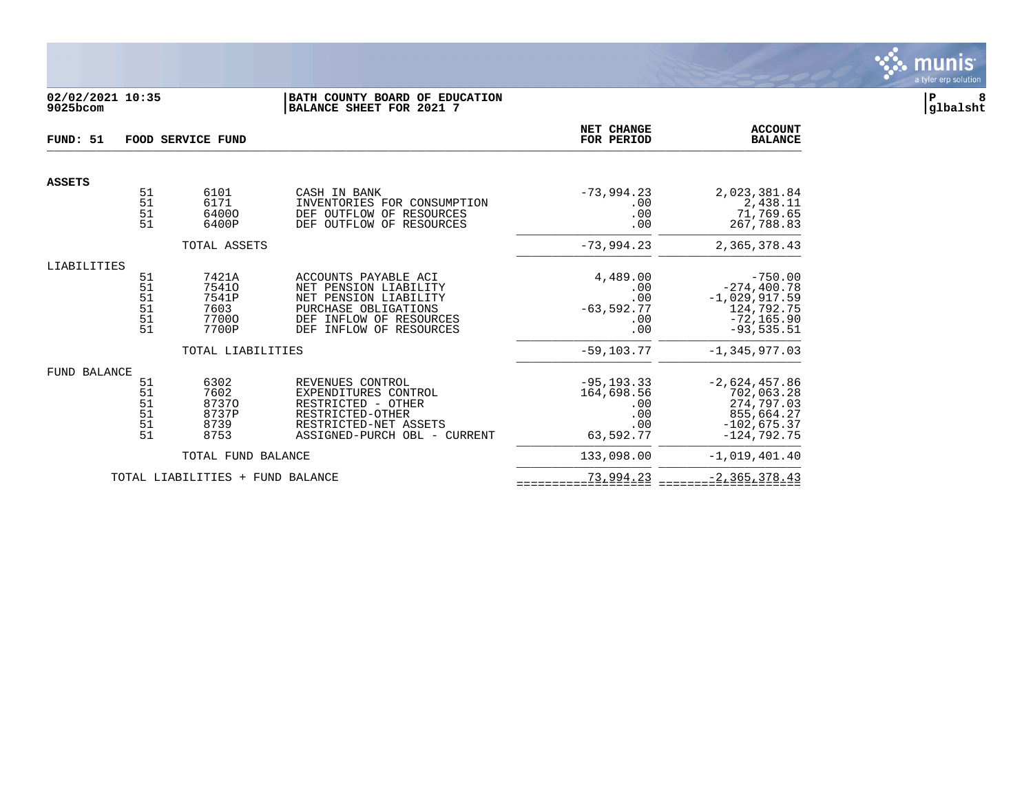

## **02/02/2021 10:35 |BATH COUNTY BOARD OF EDUCATION |P 8 9025bcom |BALANCE SHEET FOR 2021 7 |glbalsht**

| FUND: 51      | FOOD SERVICE FUND                |                                                   |                                                                                                                                                         |                                                               | <b>ACCOUNT</b><br><b>BALANCE</b>                                                              |
|---------------|----------------------------------|---------------------------------------------------|---------------------------------------------------------------------------------------------------------------------------------------------------------|---------------------------------------------------------------|-----------------------------------------------------------------------------------------------|
| <b>ASSETS</b> |                                  |                                                   |                                                                                                                                                         |                                                               |                                                                                               |
|               | 51<br>51<br>51<br>51             | 6101<br>6171<br>64000<br>6400P                    | CASH IN BANK<br>INVENTORIES FOR CONSUMPTION<br>DEF OUTFLOW OF<br>RESOURCES<br>DEF OUTFLOW OF RESOURCES                                                  | $-73,994.23$<br>.00<br>.00<br>.00                             | 2,023,381.84<br>2,438.11<br>71,769.65<br>267,788.83                                           |
|               |                                  | TOTAL ASSETS                                      |                                                                                                                                                         | $-73,994.23$                                                  | 2,365,378.43                                                                                  |
| LIABILITIES   |                                  |                                                   |                                                                                                                                                         |                                                               |                                                                                               |
|               | 51<br>51<br>51<br>51<br>51<br>51 | 7421A<br>75410<br>7541P<br>7603<br>77000<br>7700P | ACCOUNTS PAYABLE ACI<br>NET PENSION LIABILITY<br>NET PENSION LIABILITY<br>PURCHASE OBLIGATIONS<br>DEF<br>INFLOW OF RESOURCES<br>DEF INFLOW OF RESOURCES | 4,489.00<br>.00<br>.00<br>$-63,592.77$<br>.00<br>.00          | $-750.00$<br>$-274, 400.78$<br>$-1,029,917.59$<br>124,792.75<br>$-72, 165.90$<br>$-93,535.51$ |
|               |                                  | TOTAL LIABILITIES                                 |                                                                                                                                                         | $-59, 103, 77$                                                | $-1.345.977.03$                                                                               |
| FUND BALANCE  |                                  |                                                   |                                                                                                                                                         |                                                               |                                                                                               |
|               | 51<br>51<br>51<br>51<br>51<br>51 | 6302<br>7602<br>87370<br>8737P<br>8739<br>8753    | REVENUES CONTROL<br>EXPENDITURES CONTROL<br>RESTRICTED - OTHER<br>RESTRICTED-OTHER<br>RESTRICTED-NET ASSETS<br>ASSIGNED-PURCH OBL - CURRENT             | $-95, 193.33$<br>164,698.56<br>.00<br>.00<br>.00<br>63,592.77 | $-2,624,457.86$<br>702,063.28<br>274,797.03<br>855,664.27<br>$-102,675.37$<br>$-124,792.75$   |
|               |                                  | TOTAL FUND BALANCE                                |                                                                                                                                                         | 133,098.00                                                    | $-1.019.401.40$                                                                               |
|               |                                  | TOTAL LIABILITIES + FUND BALANCE                  |                                                                                                                                                         | 73,994.23                                                     | $-2, 365, 378.43$                                                                             |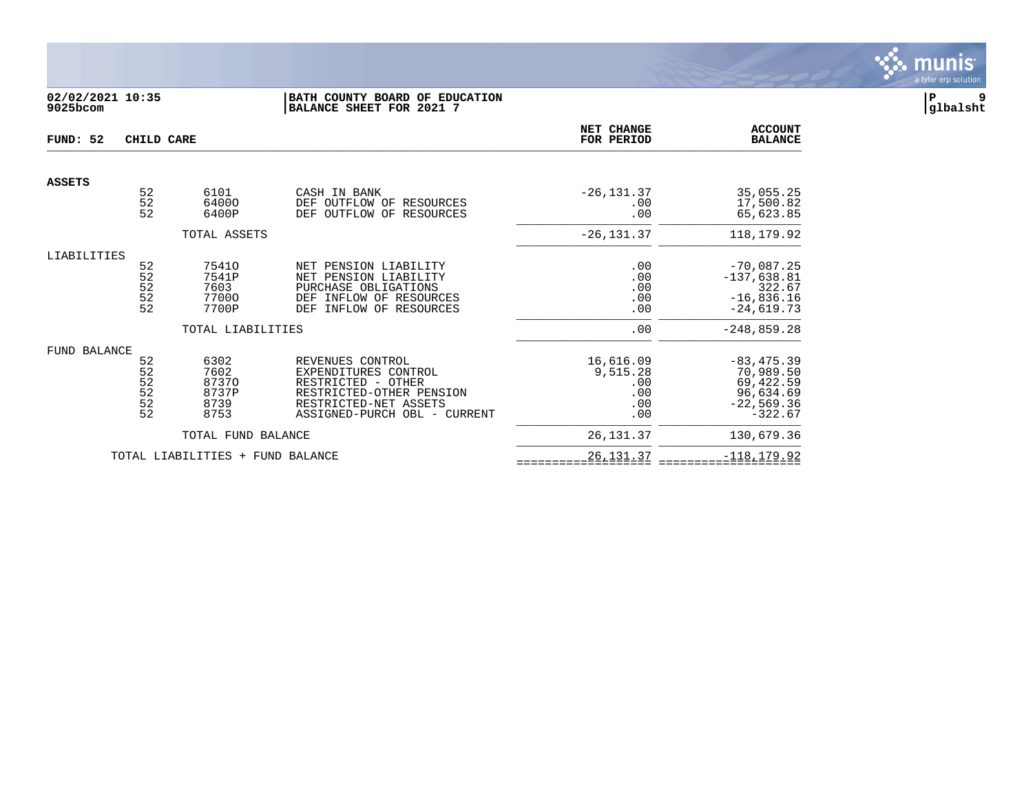

## **02/02/2021 10:35 |BATH COUNTY BOARD OF EDUCATION |P 9 9025bcom |BALANCE SHEET FOR 2021 7 |glbalsht**

| FUND: 52      | CHILD CARE            |                     |                                                       | NET CHANGE<br>FOR PERIOD | <b>ACCOUNT</b><br><b>BALANCE</b> |
|---------------|-----------------------|---------------------|-------------------------------------------------------|--------------------------|----------------------------------|
|               |                       |                     |                                                       |                          |                                  |
| <b>ASSETS</b> |                       |                     |                                                       |                          |                                  |
|               | 52<br>$\overline{52}$ | 6101<br>64000       | CASH IN BANK<br>OUTFLOW OF<br>DEF<br>RESOURCES        | $-26, 131.37$<br>.00     | 35,055.25<br>17,500.82           |
|               | 52                    | 6400P               | OF<br>DEF<br>OUTFLOW<br>RESOURCES                     | .00                      | 65,623.85                        |
|               |                       | TOTAL ASSETS        |                                                       | $-26, 131.37$            | 118,179.92                       |
| LIABILITIES   |                       |                     |                                                       |                          |                                  |
|               | 52                    | 75410               | NET PENSION LIABILITY                                 | .00                      | $-70,087.25$                     |
|               | 52                    | 7541P               | PENSION LIABILITY<br>NET                              | .00                      | $-137,638.81$                    |
|               | 52                    | 7603                | PURCHASE OBLIGATIONS                                  | .00                      | 322.67                           |
|               | 52                    | 77000               | INFLOW OF RESOURCES<br>DEF                            | .00                      | $-16,836.16$                     |
|               | 52                    | 7700P               | INFLOW OF RESOURCES<br>DEF                            | .00                      | $-24,619.73$                     |
|               |                       | TOTAL LIABILITIES   |                                                       | .00                      | $-248, 859.28$                   |
| FUND BALANCE  |                       |                     |                                                       |                          |                                  |
|               | 52                    | 6302                | REVENUES CONTROL                                      | 16,616.09                | $-83, 475.39$                    |
|               | 52                    | 7602                | EXPENDITURES CONTROL                                  | 9,515.28                 | 70,989.50                        |
|               | $\frac{52}{52}$       | 87370               | RESTRICTED - OTHER                                    | .00                      | 69,422.59                        |
|               |                       | 8737P               | RESTRICTED-OTHER PENSION                              | .00                      | 96,634.69                        |
|               | $\frac{5}{2}$         | 8739<br>8753        | RESTRICTED-NET ASSETS<br>ASSIGNED-PURCH OBL - CURRENT | .00<br>.00               | $-22,569.36$<br>$-322.67$        |
|               |                       | TOTAL FUND BALANCE  |                                                       | 26, 131.37               | 130,679.36                       |
|               |                       | TOTAL LIABILITIES + | FUND BALANCE                                          | 26, 131.37               | $-118, 179.92$                   |
|               |                       |                     |                                                       |                          |                                  |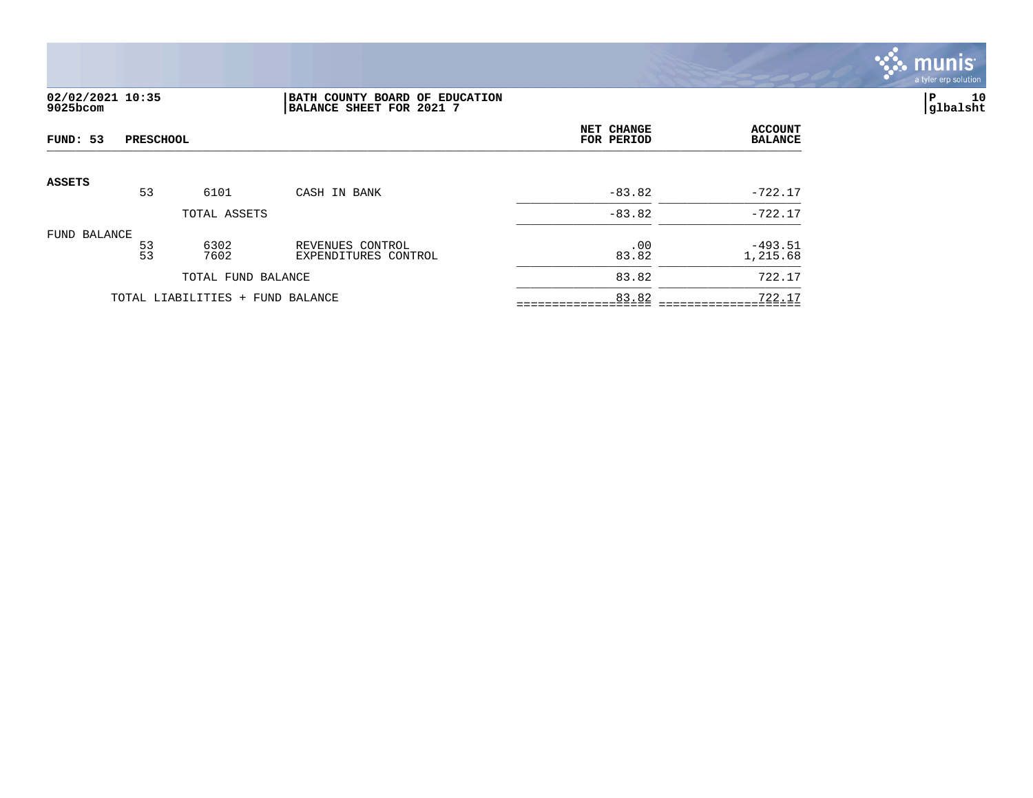

## **02/02/2021 10:35 |BATH COUNTY BOARD OF EDUCATION |P 10 9025bcom |BALANCE SHEET FOR 2021 7 |glbalsht**

| FUND: 53<br><b>PRESCHOOL</b> |                 |                                  |                                          | NET CHANGE<br>FOR PERIOD | <b>ACCOUNT</b><br><b>BALANCE</b> |
|------------------------------|-----------------|----------------------------------|------------------------------------------|--------------------------|----------------------------------|
| <b>ASSETS</b>                |                 |                                  |                                          |                          |                                  |
|                              | 53              | 6101                             | CASH IN BANK                             | $-83.82$                 | $-722.17$                        |
|                              |                 | TOTAL ASSETS                     |                                          | $-83.82$                 | $-722.17$                        |
| FUND BALANCE                 | $\frac{53}{53}$ | 6302<br>7602                     | REVENUES CONTROL<br>EXPENDITURES CONTROL | .00<br>83.82             | $-493.51$<br>1,215.68            |
|                              |                 | TOTAL FUND BALANCE               |                                          | 83.82                    | 722.17                           |
|                              |                 | TOTAL LIABILITIES + FUND BALANCE |                                          | 83.82                    | 722.17                           |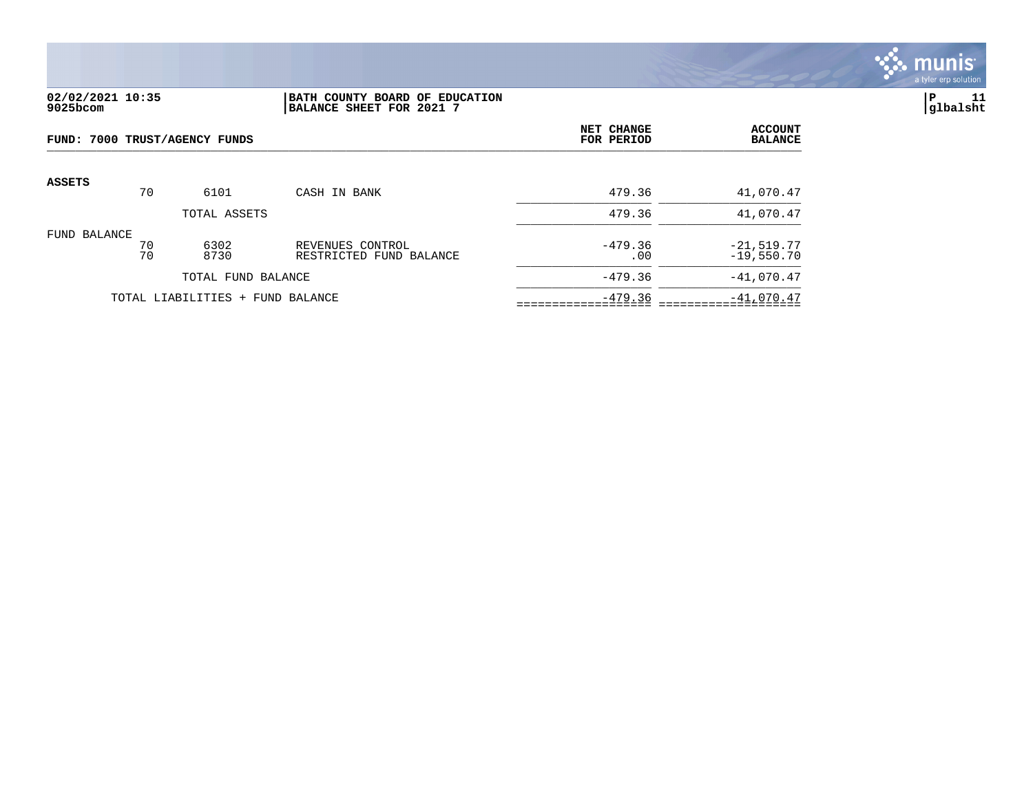

## **02/02/2021 10:35 |BATH COUNTY BOARD OF EDUCATION |P 11 9025bcom |BALANCE SHEET FOR 2021 7 |glbalsht**

|               | FUND: 7000 TRUST/AGENCY FUNDS |                                  |                                             |                  | <b>ACCOUNT</b><br><b>BALANCE</b> |
|---------------|-------------------------------|----------------------------------|---------------------------------------------|------------------|----------------------------------|
| <b>ASSETS</b> | 70                            | 6101                             | CASH IN BANK                                | 479.36           | 41,070.47                        |
|               |                               | TOTAL ASSETS                     |                                             | 479.36           | 41,070.47                        |
| FUND BALANCE  | 70<br>70                      | 6302<br>8730                     | REVENUES CONTROL<br>RESTRICTED FUND BALANCE | $-479.36$<br>.00 | $-21,519.77$<br>$-19,550.70$     |
|               |                               | TOTAL FUND BALANCE               |                                             | $-479.36$        | $-41,070.47$                     |
|               |                               | TOTAL LIABILITIES + FUND BALANCE |                                             | $-479.36$        | $-41,070.47$                     |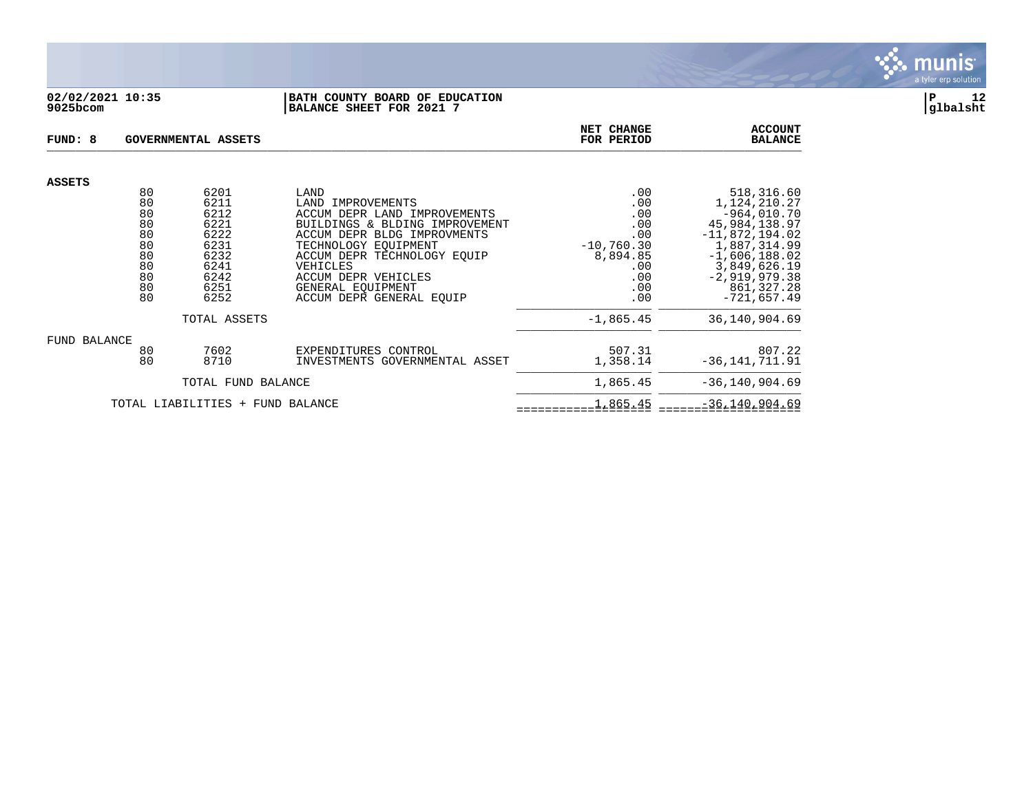

#### **02/02/2021 10:35 |BATH COUNTY BOARD OF EDUCATION |P 12 9025bcom |BALANCE SHEET FOR 2021 7 |glbalsht**

| FUND: 8                                                        | GOVERNMENTAL ASSETS                                                                  | NET CHANGE<br>FOR PERIOD                                                                                                                                                                                                                                              | <b>ACCOUNT</b><br><b>BALANCE</b>                                                        |                                                                                                                                                                                       |
|----------------------------------------------------------------|--------------------------------------------------------------------------------------|-----------------------------------------------------------------------------------------------------------------------------------------------------------------------------------------------------------------------------------------------------------------------|-----------------------------------------------------------------------------------------|---------------------------------------------------------------------------------------------------------------------------------------------------------------------------------------|
| <b>ASSETS</b>                                                  |                                                                                      |                                                                                                                                                                                                                                                                       |                                                                                         |                                                                                                                                                                                       |
| 80<br>80<br>80<br>80<br>80<br>80<br>80<br>80<br>80<br>80<br>80 | 6201<br>6211<br>6212<br>6221<br>6222<br>6231<br>6232<br>6241<br>6242<br>6251<br>6252 | LAND<br>LAND IMPROVEMENTS<br>ACCUM DEPR LAND IMPROVEMENTS<br>BUILDINGS & BLDING IMPROVEMENT<br>ACCUM DEPR BLDG IMPROVMENTS<br>TECHNOLOGY EOUIPMENT<br>ACCUM DEPR TECHNOLOGY EOUIP<br>VEHICLES<br>ACCUM DEPR VEHICLES<br>GENERAL EOUIPMENT<br>ACCUM DEPR GENERAL EQUIP | .00<br>.00<br>.00<br>.00<br>.00<br>$-10,760.30$<br>8,894.85<br>.00<br>.00<br>.00<br>.00 | 518,316.60<br>1,124,210.27<br>$-964,010.70$<br>45,984,138.97<br>$-11,872,194.02$<br>1,887,314.99<br>$-1,606,188.02$<br>3,849,626.19<br>$-2,919,979.38$<br>861,327.28<br>$-721,657.49$ |
| TOTAL ASSETS                                                   |                                                                                      |                                                                                                                                                                                                                                                                       | $-1,865.45$                                                                             | 36,140,904.69                                                                                                                                                                         |
| FUND BALANCE<br>80<br>80                                       | 7602<br>8710                                                                         | EXPENDITURES CONTROL<br>INVESTMENTS GOVERNMENTAL ASSET                                                                                                                                                                                                                | 507.31<br>1,358.14                                                                      | 807.22<br>$-36, 141, 711.91$                                                                                                                                                          |
| TOTAL FUND BALANCE                                             |                                                                                      |                                                                                                                                                                                                                                                                       | 1,865.45                                                                                | $-36, 140, 904.69$                                                                                                                                                                    |
| TOTAL LIABILITIES + FUND BALANCE                               |                                                                                      |                                                                                                                                                                                                                                                                       | 1,865.45                                                                                | $-36, 140, 904.69$                                                                                                                                                                    |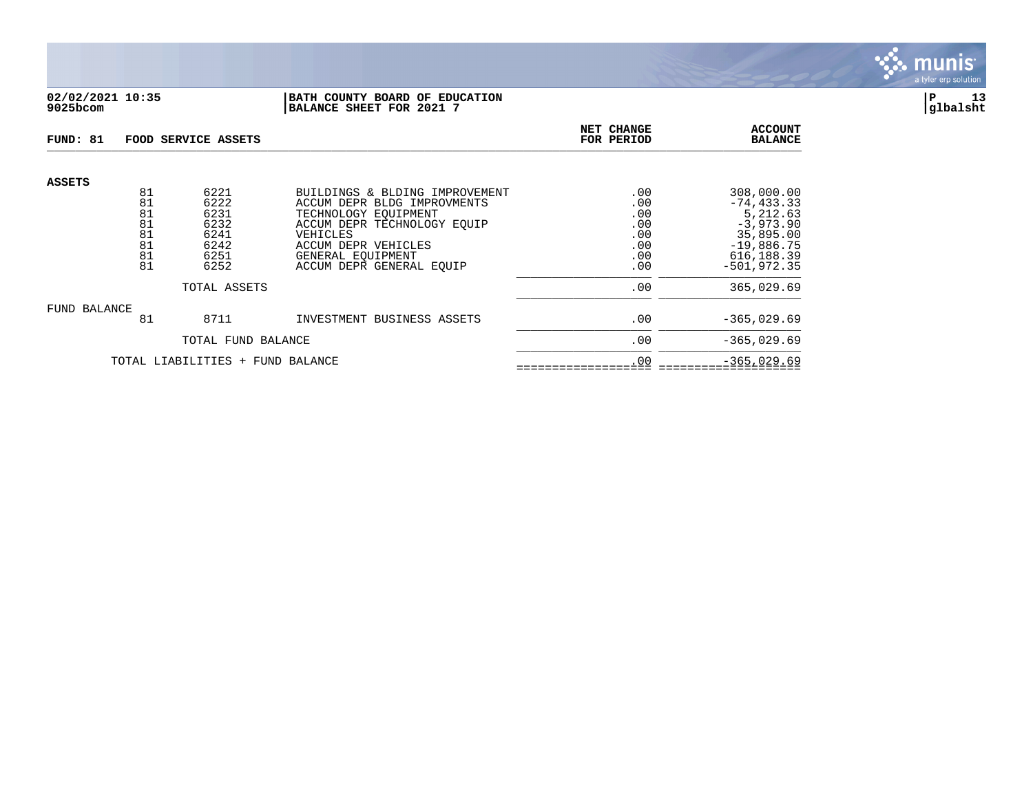

### **02/02/2021 10:35 |BATH COUNTY BOARD OF EDUCATION |P 13 9025bcom |BALANCE SHEET FOR 2021 7 |glbalsht**

| FUND: 81                         |                                  | FOOD SERVICE ASSETS                          |                                                                                                                                         | NET CHANGE<br>FOR PERIOD               | <b>ACCOUNT</b><br><b>BALANCE</b>                                                     |
|----------------------------------|----------------------------------|----------------------------------------------|-----------------------------------------------------------------------------------------------------------------------------------------|----------------------------------------|--------------------------------------------------------------------------------------|
| <b>ASSETS</b>                    | 81<br>81                         | 6221<br>6222                                 | BUILDINGS & BLDING IMPROVEMENT<br>ACCUM DEPR BLDG IMPROVMENTS                                                                           | .00<br>.00                             | 308,000.00<br>$-74, 433.33$                                                          |
|                                  | 81<br>81<br>81<br>81<br>81<br>81 | 6231<br>6232<br>6241<br>6242<br>6251<br>6252 | TECHNOLOGY EOUIPMENT<br>ACCUM DEPR TECHNOLOGY EOUIP<br>VEHICLES<br>ACCUM DEPR VEHICLES<br>GENERAL EOUIPMENT<br>ACCUM DEPR GENERAL EQUIP | .00<br>.00<br>.00<br>.00<br>.00<br>.00 | 5,212.63<br>$-3,973.90$<br>35,895.00<br>$-19,886.75$<br>616, 188.39<br>$-501.972.35$ |
| TOTAL ASSETS                     |                                  |                                              | .00                                                                                                                                     | 365,029.69                             |                                                                                      |
| FUND BALANCE                     | 81                               | 8711                                         | INVESTMENT BUSINESS ASSETS                                                                                                              | .00                                    | $-365,029.69$                                                                        |
|                                  | TOTAL FUND BALANCE               |                                              |                                                                                                                                         | .00                                    | $-365.029.69$                                                                        |
| TOTAL LIABILITIES + FUND BALANCE |                                  |                                              | .00                                                                                                                                     | $-365,029.69$                          |                                                                                      |